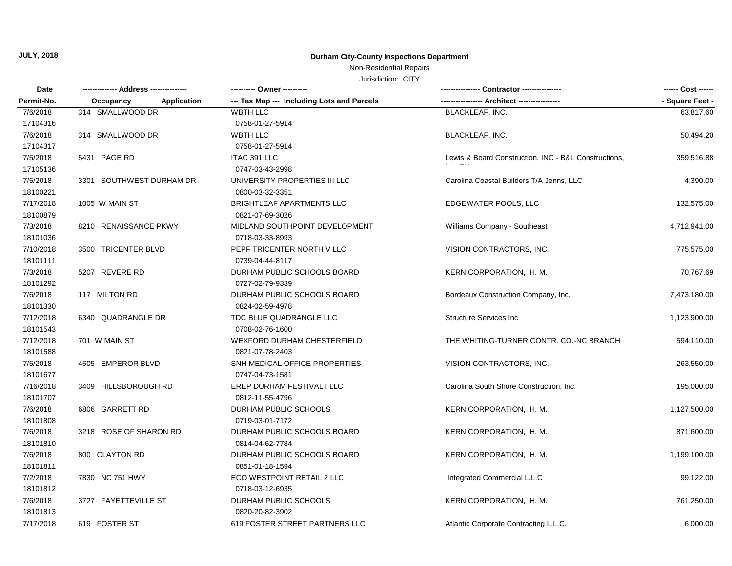## Non-Residential Repairs

| Date       |                          | ---------- Owner ----------                |                                                      | ------ Cost ------ |  |
|------------|--------------------------|--------------------------------------------|------------------------------------------------------|--------------------|--|
| Permit-No. | Occupancy<br>Application | --- Tax Map --- Including Lots and Parcels |                                                      | - Square Feet -    |  |
| 7/6/2018   | 314 SMALLWOOD DR         | <b>WBTH LLC</b>                            | <b>BLACKLEAF, INC.</b>                               | 63,817.60          |  |
| 17104316   |                          | 0758-01-27-5914                            |                                                      |                    |  |
| 7/6/2018   | 314 SMALLWOOD DR         | <b>WBTH LLC</b>                            | BLACKLEAF, INC.                                      | 50,494.20          |  |
| 17104317   |                          | 0758-01-27-5914                            |                                                      |                    |  |
| 7/5/2018   | 5431 PAGE RD             | ITAC 391 LLC                               | Lewis & Board Construction, INC - B&L Constructions, | 359,516.88         |  |
| 17105136   |                          | 0747-03-43-2998                            |                                                      |                    |  |
| 7/5/2018   | 3301 SOUTHWEST DURHAM DR | UNIVERSITY PROPERTIES III LLC              | Carolina Coastal Builders T/A Jenns, LLC             | 4,390.00           |  |
| 18100221   |                          | 0800-03-32-3351                            |                                                      |                    |  |
| 7/17/2018  | 1005 W MAIN ST           | <b>BRIGHTLEAF APARTMENTS LLC</b>           | EDGEWATER POOLS, LLC                                 | 132,575.00         |  |
| 18100879   |                          | 0821-07-69-3026                            |                                                      |                    |  |
| 7/3/2018   | 8210 RENAISSANCE PKWY    | MIDLAND SOUTHPOINT DEVELOPMENT             | Williams Company - Southeast                         | 4,712,941.00       |  |
| 18101036   |                          | 0718-03-33-8993                            |                                                      |                    |  |
| 7/10/2018  | 3500 TRICENTER BLVD      | PEPF TRICENTER NORTH V LLC                 | VISION CONTRACTORS, INC.                             | 775,575.00         |  |
| 18101111   |                          | 0739-04-44-8117                            |                                                      |                    |  |
| 7/3/2018   | 5207 REVERE RD           | DURHAM PUBLIC SCHOOLS BOARD                | KERN CORPORATION, H. M.                              | 70,767.69          |  |
| 18101292   |                          | 0727-02-79-9339                            |                                                      |                    |  |
| 7/6/2018   | 117 MILTON RD            | DURHAM PUBLIC SCHOOLS BOARD                | Bordeaux Construction Company, Inc.                  | 7,473,180.00       |  |
| 18101330   |                          | 0824-02-59-4978                            |                                                      |                    |  |
| 7/12/2018  | 6340 QUADRANGLE DR       | TDC BLUE QUADRANGLE LLC                    | <b>Structure Services Inc.</b>                       | 1,123,900.00       |  |
| 18101543   |                          | 0708-02-76-1600                            |                                                      |                    |  |
| 7/12/2018  | 701 W MAIN ST            | <b>WEXFORD DURHAM CHESTERFIELD</b>         | THE WHITING-TURNER CONTR. CO.-NC BRANCH              | 594,110.00         |  |
| 18101588   |                          | 0821-07-78-2403                            |                                                      |                    |  |
| 7/5/2018   | 4505 EMPEROR BLVD        | SNH MEDICAL OFFICE PROPERTIES              | VISION CONTRACTORS, INC.                             | 263,550.00         |  |
| 18101677   |                          | 0747-04-73-1581                            |                                                      |                    |  |
| 7/16/2018  | 3409 HILLSBOROUGH RD     | EREP DURHAM FESTIVAL I LLC                 | Carolina South Shore Construction, Inc.              | 195,000.00         |  |
| 18101707   |                          | 0812-11-55-4796                            |                                                      |                    |  |
| 7/6/2018   | 6806 GARRETT RD          | DURHAM PUBLIC SCHOOLS                      | KERN CORPORATION, H. M.                              | 1,127,500.00       |  |
| 18101808   |                          | 0719-03-01-7172                            |                                                      |                    |  |
| 7/6/2018   | 3218 ROSE OF SHARON RD   | DURHAM PUBLIC SCHOOLS BOARD                | KERN CORPORATION, H. M.                              | 871,600.00         |  |
| 18101810   |                          | 0814-04-62-7784                            |                                                      |                    |  |
| 7/6/2018   | 800 CLAYTON RD           | DURHAM PUBLIC SCHOOLS BOARD                | KERN CORPORATION, H. M.                              | 1,199,100.00       |  |
| 18101811   |                          | 0851-01-18-1594                            |                                                      |                    |  |
| 7/2/2018   | 7830 NC 751 HWY          | ECO WESTPOINT RETAIL 2 LLC                 | Integrated Commercial L.L.C                          | 99,122.00          |  |
| 18101812   |                          | 0718-03-12-6935                            |                                                      |                    |  |
| 7/6/2018   | 3727 FAYETTEVILLE ST     | DURHAM PUBLIC SCHOOLS                      | KERN CORPORATION, H. M.                              | 761,250.00         |  |
| 18101813   |                          | 0820-20-82-3902                            |                                                      |                    |  |
| 7/17/2018  | 619 FOSTER ST            | 619 FOSTER STREET PARTNERS LLC             | Atlantic Corporate Contracting L.L.C.                | 6,000.00           |  |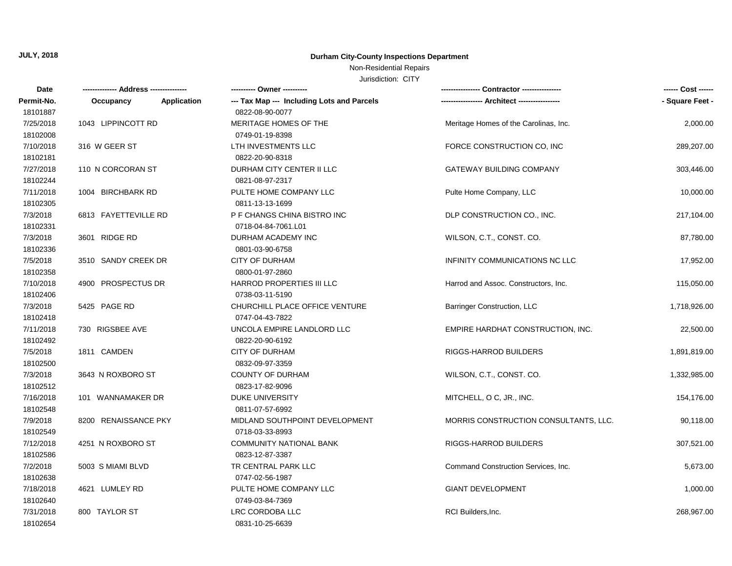## Non-Residential Repairs

| Date       |                          |                                            |                                       | ------ Cost ------ |
|------------|--------------------------|--------------------------------------------|---------------------------------------|--------------------|
| Permit-No. | Application<br>Occupancy | --- Tax Map --- Including Lots and Parcels |                                       | - Square Feet -    |
| 18101887   |                          | 0822-08-90-0077                            |                                       |                    |
| 7/25/2018  | 1043 LIPPINCOTT RD       | MERITAGE HOMES OF THE                      | Meritage Homes of the Carolinas, Inc. | 2,000.00           |
| 18102008   |                          | 0749-01-19-8398                            |                                       |                    |
| 7/10/2018  | 316 W GEER ST            | LTH INVESTMENTS LLC                        | FORCE CONSTRUCTION CO, INC            | 289,207.00         |
| 18102181   |                          | 0822-20-90-8318                            |                                       |                    |
| 7/27/2018  | 110 N CORCORAN ST        | DURHAM CITY CENTER II LLC                  | <b>GATEWAY BUILDING COMPANY</b>       | 303,446.00         |
| 18102244   |                          | 0821-08-97-2317                            |                                       |                    |
| 7/11/2018  | 1004 BIRCHBARK RD        | PULTE HOME COMPANY LLC                     | Pulte Home Company, LLC               | 10,000.00          |
| 18102305   |                          | 0811-13-13-1699                            |                                       |                    |
| 7/3/2018   | 6813 FAYETTEVILLE RD     | P F CHANGS CHINA BISTRO INC                | DLP CONSTRUCTION CO., INC.            | 217,104.00         |
| 18102331   |                          | 0718-04-84-7061.L01                        |                                       |                    |
| 7/3/2018   | 3601 RIDGE RD            | DURHAM ACADEMY INC                         | WILSON, C.T., CONST. CO.              | 87,780.00          |
| 18102336   |                          | 0801-03-90-6758                            |                                       |                    |
| 7/5/2018   | 3510 SANDY CREEK DR      | <b>CITY OF DURHAM</b>                      | INFINITY COMMUNICATIONS NC LLC        | 17,952.00          |
| 18102358   |                          | 0800-01-97-2860                            |                                       |                    |
| 7/10/2018  | 4900 PROSPECTUS DR       | HARROD PROPERTIES III LLC                  | Harrod and Assoc. Constructors, Inc.  | 115,050.00         |
| 18102406   |                          | 0738-03-11-5190                            |                                       |                    |
| 7/3/2018   | 5425 PAGE RD             | CHURCHILL PLACE OFFICE VENTURE             | <b>Barringer Construction, LLC</b>    | 1,718,926.00       |
| 18102418   |                          | 0747-04-43-7822                            |                                       |                    |
| 7/11/2018  | 730 RIGSBEE AVE          | UNCOLA EMPIRE LANDLORD LLC                 | EMPIRE HARDHAT CONSTRUCTION, INC.     | 22,500.00          |
| 18102492   |                          | 0822-20-90-6192                            |                                       |                    |
| 7/5/2018   | 1811 CAMDEN              | <b>CITY OF DURHAM</b>                      | RIGGS-HARROD BUILDERS                 | 1,891,819.00       |
| 18102500   |                          | 0832-09-97-3359                            |                                       |                    |
| 7/3/2018   | 3643 N ROXBORO ST        | <b>COUNTY OF DURHAM</b>                    | WILSON, C.T., CONST. CO.              | 1,332,985.00       |
| 18102512   |                          | 0823-17-82-9096                            |                                       |                    |
| 7/16/2018  | 101 WANNAMAKER DR        | <b>DUKE UNIVERSITY</b>                     | MITCHELL, O C, JR., INC.              | 154,176.00         |
| 18102548   |                          | 0811-07-57-6992                            |                                       |                    |
| 7/9/2018   | 8200 RENAISSANCE PKY     | MIDLAND SOUTHPOINT DEVELOPMENT             | MORRIS CONSTRUCTION CONSULTANTS, LLC. | 90,118.00          |
| 18102549   |                          | 0718-03-33-8993                            |                                       |                    |
| 7/12/2018  | 4251 N ROXBORO ST        | COMMUNITY NATIONAL BANK                    | RIGGS-HARROD BUILDERS                 | 307,521.00         |
| 18102586   |                          | 0823-12-87-3387                            |                                       |                    |
| 7/2/2018   | 5003 S MIAMI BLVD        | TR CENTRAL PARK LLC                        | Command Construction Services, Inc.   | 5,673.00           |
| 18102638   |                          | 0747-02-56-1987                            |                                       |                    |
| 7/18/2018  | 4621 LUMLEY RD           | PULTE HOME COMPANY LLC                     | <b>GIANT DEVELOPMENT</b>              | 1,000.00           |
| 18102640   |                          | 0749-03-84-7369                            |                                       |                    |
| 7/31/2018  | 800 TAYLOR ST            | LRC CORDOBA LLC                            | RCI Builders, Inc.                    | 268,967.00         |
| 18102654   |                          | 0831-10-25-6639                            |                                       |                    |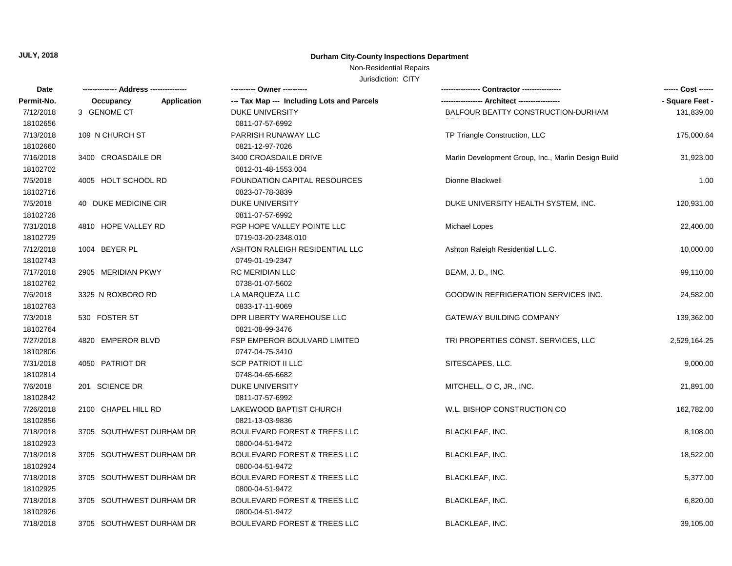# Non-Residential Repairs

| Date       |                                 |                                            |                                                     | ------ Cost ------ |
|------------|---------------------------------|--------------------------------------------|-----------------------------------------------------|--------------------|
| Permit-No. | <b>Application</b><br>Occupancy | --- Tax Map --- Including Lots and Parcels |                                                     | - Square Feet -    |
| 7/12/2018  | 3 GENOME CT                     | <b>DUKE UNIVERSITY</b>                     | BALFOUR BEATTY CONSTRUCTION-DURHAM                  | 131,839.00         |
| 18102656   |                                 | 0811-07-57-6992                            |                                                     |                    |
| 7/13/2018  | 109 N CHURCH ST                 | PARRISH RUNAWAY LLC                        | TP Triangle Construction, LLC                       | 175,000.64         |
| 18102660   |                                 | 0821-12-97-7026                            |                                                     |                    |
| 7/16/2018  | 3400 CROASDAILE DR              | 3400 CROASDAILE DRIVE                      | Marlin Development Group, Inc., Marlin Design Build | 31,923.00          |
| 18102702   |                                 | 0812-01-48-1553.004                        |                                                     |                    |
| 7/5/2018   | 4005 HOLT SCHOOL RD             | <b>FOUNDATION CAPITAL RESOURCES</b>        | Dionne Blackwell                                    | 1.00               |
| 18102716   |                                 | 0823-07-78-3839                            |                                                     |                    |
| 7/5/2018   | 40 DUKE MEDICINE CIR            | <b>DUKE UNIVERSITY</b>                     | DUKE UNIVERSITY HEALTH SYSTEM, INC.                 | 120,931.00         |
| 18102728   |                                 | 0811-07-57-6992                            |                                                     |                    |
| 7/31/2018  | 4810 HOPE VALLEY RD             | PGP HOPE VALLEY POINTE LLC                 | Michael Lopes                                       | 22,400.00          |
| 18102729   |                                 | 0719-03-20-2348.010                        |                                                     |                    |
| 7/12/2018  | 1004 BEYER PL                   | ASHTON RALEIGH RESIDENTIAL LLC             | Ashton Raleigh Residential L.L.C.                   | 10,000.00          |
| 18102743   |                                 | 0749-01-19-2347                            |                                                     |                    |
| 7/17/2018  | 2905 MERIDIAN PKWY              | RC MERIDIAN LLC                            | BEAM, J. D., INC.                                   | 99,110.00          |
| 18102762   |                                 | 0738-01-07-5602                            |                                                     |                    |
| 7/6/2018   | 3325 N ROXBORO RD               | LA MARQUEZA LLC                            | <b>GOODWIN REFRIGERATION SERVICES INC.</b>          | 24,582.00          |
| 18102763   |                                 | 0833-17-11-9069                            |                                                     |                    |
| 7/3/2018   | 530 FOSTER ST                   | DPR LIBERTY WAREHOUSE LLC                  | <b>GATEWAY BUILDING COMPANY</b>                     | 139,362.00         |
| 18102764   |                                 | 0821-08-99-3476                            |                                                     |                    |
| 7/27/2018  | 4820 EMPEROR BLVD               | FSP EMPEROR BOULVARD LIMITED               | TRI PROPERTIES CONST. SERVICES, LLC                 | 2,529,164.25       |
| 18102806   |                                 | 0747-04-75-3410                            |                                                     |                    |
| 7/31/2018  | 4050 PATRIOT DR                 | <b>SCP PATRIOT II LLC</b>                  | SITESCAPES, LLC.                                    | 9,000.00           |
| 18102814   |                                 | 0748-04-65-6682                            |                                                     |                    |
| 7/6/2018   | 201 SCIENCE DR                  | DUKE UNIVERSITY                            | MITCHELL, O C, JR., INC.                            | 21,891.00          |
| 18102842   |                                 | 0811-07-57-6992                            |                                                     |                    |
| 7/26/2018  | 2100 CHAPEL HILL RD             | LAKEWOOD BAPTIST CHURCH                    | W.L. BISHOP CONSTRUCTION CO                         | 162,782.00         |
| 18102856   |                                 | 0821-13-03-9836                            |                                                     |                    |
| 7/18/2018  | 3705 SOUTHWEST DURHAM DR        | <b>BOULEVARD FOREST &amp; TREES LLC</b>    | <b>BLACKLEAF, INC.</b>                              | 8,108.00           |
| 18102923   |                                 | 0800-04-51-9472                            |                                                     |                    |
| 7/18/2018  | 3705 SOUTHWEST DURHAM DR        | <b>BOULEVARD FOREST &amp; TREES LLC</b>    | BLACKLEAF, INC.                                     | 18,522.00          |
| 18102924   |                                 | 0800-04-51-9472                            |                                                     |                    |
| 7/18/2018  | 3705 SOUTHWEST DURHAM DR        | <b>BOULEVARD FOREST &amp; TREES LLC</b>    | <b>BLACKLEAF, INC.</b>                              | 5,377.00           |
| 18102925   |                                 | 0800-04-51-9472                            |                                                     |                    |
| 7/18/2018  | 3705 SOUTHWEST DURHAM DR        | <b>BOULEVARD FOREST &amp; TREES LLC</b>    | BLACKLEAF, INC.                                     | 6,820.00           |
| 18102926   |                                 | 0800-04-51-9472                            |                                                     |                    |
| 7/18/2018  | 3705 SOUTHWEST DURHAM DR        | <b>BOULEVARD FOREST &amp; TREES LLC</b>    | BLACKLEAF, INC.                                     | 39,105.00          |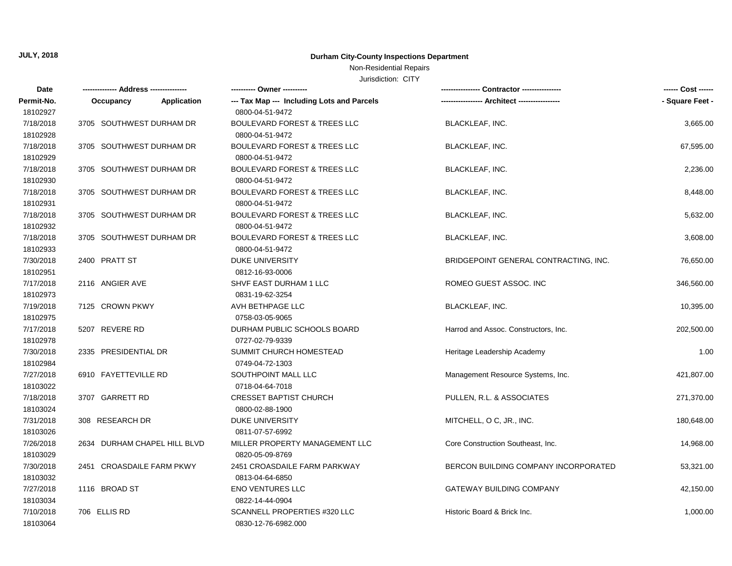### Non-Residential Repairs

| Date       | ------------- Address -------------- |             | ---------- Owner ----------                |                                       | ------ Cost ------ |
|------------|--------------------------------------|-------------|--------------------------------------------|---------------------------------------|--------------------|
| Permit-No. | Occupancy                            | Application | --- Tax Map --- Including Lots and Parcels | -- Architect ----------               | - Square Feet -    |
| 18102927   |                                      |             | 0800-04-51-9472                            |                                       |                    |
| 7/18/2018  | 3705 SOUTHWEST DURHAM DR             |             | <b>BOULEVARD FOREST &amp; TREES LLC</b>    | BLACKLEAF, INC.                       | 3,665.00           |
| 18102928   |                                      |             | 0800-04-51-9472                            |                                       |                    |
| 7/18/2018  | 3705 SOUTHWEST DURHAM DR             |             | <b>BOULEVARD FOREST &amp; TREES LLC</b>    | <b>BLACKLEAF, INC.</b>                | 67,595.00          |
| 18102929   |                                      |             | 0800-04-51-9472                            |                                       |                    |
| 7/18/2018  | 3705 SOUTHWEST DURHAM DR             |             | <b>BOULEVARD FOREST &amp; TREES LLC</b>    | <b>BLACKLEAF, INC.</b>                | 2,236.00           |
| 18102930   |                                      |             | 0800-04-51-9472                            |                                       |                    |
| 7/18/2018  | 3705 SOUTHWEST DURHAM DR             |             | <b>BOULEVARD FOREST &amp; TREES LLC</b>    | <b>BLACKLEAF, INC.</b>                | 8,448.00           |
| 18102931   |                                      |             | 0800-04-51-9472                            |                                       |                    |
| 7/18/2018  | 3705 SOUTHWEST DURHAM DR             |             | <b>BOULEVARD FOREST &amp; TREES LLC</b>    | <b>BLACKLEAF, INC.</b>                | 5,632.00           |
| 18102932   |                                      |             | 0800-04-51-9472                            |                                       |                    |
| 7/18/2018  | 3705 SOUTHWEST DURHAM DR             |             | <b>BOULEVARD FOREST &amp; TREES LLC</b>    | <b>BLACKLEAF, INC.</b>                | 3,608.00           |
| 18102933   |                                      |             | 0800-04-51-9472                            |                                       |                    |
| 7/30/2018  | 2400 PRATT ST                        |             | <b>DUKE UNIVERSITY</b>                     | BRIDGEPOINT GENERAL CONTRACTING, INC. | 76,650.00          |
| 18102951   |                                      |             | 0812-16-93-0006                            |                                       |                    |
| 7/17/2018  | 2116 ANGIER AVE                      |             | SHVF EAST DURHAM 1 LLC                     | ROMEO GUEST ASSOC. INC                | 346,560.00         |
| 18102973   |                                      |             | 0831-19-62-3254                            |                                       |                    |
| 7/19/2018  | 7125 CROWN PKWY                      |             | AVH BETHPAGE LLC                           | <b>BLACKLEAF, INC.</b>                | 10,395.00          |
| 18102975   |                                      |             | 0758-03-05-9065                            |                                       |                    |
| 7/17/2018  | 5207 REVERE RD                       |             | DURHAM PUBLIC SCHOOLS BOARD                | Harrod and Assoc. Constructors, Inc.  | 202,500.00         |
| 18102978   |                                      |             | 0727-02-79-9339                            |                                       |                    |
| 7/30/2018  | 2335 PRESIDENTIAL DR                 |             | SUMMIT CHURCH HOMESTEAD                    | Heritage Leadership Academy           | 1.00               |
| 18102984   |                                      |             | 0749-04-72-1303                            |                                       |                    |
| 7/27/2018  | 6910 FAYETTEVILLE RD                 |             | SOUTHPOINT MALL LLC                        | Management Resource Systems, Inc.     | 421,807.00         |
| 18103022   |                                      |             | 0718-04-64-7018                            |                                       |                    |
| 7/18/2018  | 3707 GARRETT RD                      |             | <b>CRESSET BAPTIST CHURCH</b>              | PULLEN, R.L. & ASSOCIATES             | 271,370.00         |
| 18103024   |                                      |             | 0800-02-88-1900                            |                                       |                    |
| 7/31/2018  | 308 RESEARCH DR                      |             | <b>DUKE UNIVERSITY</b>                     | MITCHELL, O C, JR., INC.              | 180,648.00         |
| 18103026   |                                      |             | 0811-07-57-6992                            |                                       |                    |
| 7/26/2018  | 2634 DURHAM CHAPEL HILL BLVD         |             | MILLER PROPERTY MANAGEMENT LLC             | Core Construction Southeast, Inc.     | 14,968.00          |
| 18103029   |                                      |             | 0820-05-09-8769                            |                                       |                    |
| 7/30/2018  | 2451 CROASDAILE FARM PKWY            |             | 2451 CROASDAILE FARM PARKWAY               | BERCON BUILDING COMPANY INCORPORATED  | 53,321.00          |
| 18103032   |                                      |             | 0813-04-64-6850                            |                                       |                    |
| 7/27/2018  | 1116 BROAD ST                        |             | <b>ENO VENTURES LLC</b>                    | <b>GATEWAY BUILDING COMPANY</b>       | 42,150.00          |
| 18103034   |                                      |             | 0822-14-44-0904                            |                                       |                    |
| 7/10/2018  | 706 ELLIS RD                         |             | SCANNELL PROPERTIES #320 LLC               | Historic Board & Brick Inc.           | 1,000.00           |
| 18103064   |                                      |             | 0830-12-76-6982.000                        |                                       |                    |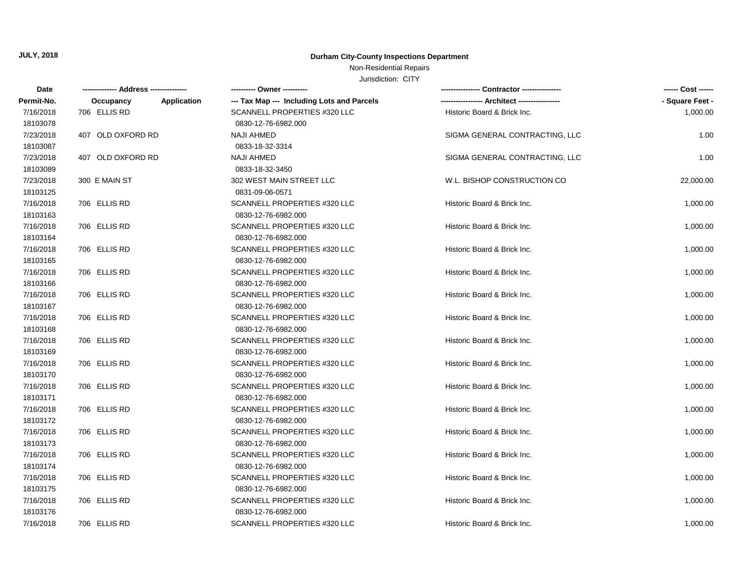## Non-Residential Repairs

| Date       |                   |             | ---------- Owner ----------                |                                | ------ Cost ------ |
|------------|-------------------|-------------|--------------------------------------------|--------------------------------|--------------------|
| Permit-No. | Occupancy         | Application | --- Tax Map --- Including Lots and Parcels |                                | - Square Feet -    |
| 7/16/2018  | 706 ELLIS RD      |             | SCANNELL PROPERTIES #320 LLC               | Historic Board & Brick Inc.    | 1,000.00           |
| 18103078   |                   |             | 0830-12-76-6982.000                        |                                |                    |
| 7/23/2018  | 407 OLD OXFORD RD |             | <b>NAJI AHMED</b>                          | SIGMA GENERAL CONTRACTING, LLC | 1.00               |
| 18103087   |                   |             | 0833-18-32-3314                            |                                |                    |
| 7/23/2018  | 407 OLD OXFORD RD |             | <b>NAJI AHMED</b>                          | SIGMA GENERAL CONTRACTING, LLC | 1.00               |
| 18103089   |                   |             | 0833-18-32-3450                            |                                |                    |
| 7/23/2018  | 300 E MAIN ST     |             | 302 WEST MAIN STREET LLC                   | W.L. BISHOP CONSTRUCTION CO    | 22,000.00          |
| 18103125   |                   |             | 0831-09-06-0571                            |                                |                    |
| 7/16/2018  | 706 ELLIS RD      |             | SCANNELL PROPERTIES #320 LLC               | Historic Board & Brick Inc.    | 1,000.00           |
| 18103163   |                   |             | 0830-12-76-6982.000                        |                                |                    |
| 7/16/2018  | 706 ELLIS RD      |             | SCANNELL PROPERTIES #320 LLC               | Historic Board & Brick Inc.    | 1,000.00           |
| 18103164   |                   |             | 0830-12-76-6982.000                        |                                |                    |
| 7/16/2018  | 706 ELLIS RD      |             | SCANNELL PROPERTIES #320 LLC               | Historic Board & Brick Inc.    | 1,000.00           |
| 18103165   |                   |             | 0830-12-76-6982.000                        |                                |                    |
| 7/16/2018  | 706 ELLIS RD      |             | SCANNELL PROPERTIES #320 LLC               | Historic Board & Brick Inc.    | 1,000.00           |
| 18103166   |                   |             | 0830-12-76-6982.000                        |                                |                    |
| 7/16/2018  | 706 ELLIS RD      |             | SCANNELL PROPERTIES #320 LLC               | Historic Board & Brick Inc.    | 1,000.00           |
| 18103167   |                   |             | 0830-12-76-6982.000                        |                                |                    |
| 7/16/2018  | 706 ELLIS RD      |             | SCANNELL PROPERTIES #320 LLC               | Historic Board & Brick Inc.    | 1,000.00           |
| 18103168   |                   |             | 0830-12-76-6982.000                        |                                |                    |
| 7/16/2018  | 706 ELLIS RD      |             | SCANNELL PROPERTIES #320 LLC               | Historic Board & Brick Inc.    | 1,000.00           |
| 18103169   |                   |             | 0830-12-76-6982.000                        |                                |                    |
| 7/16/2018  | 706 ELLIS RD      |             | SCANNELL PROPERTIES #320 LLC               | Historic Board & Brick Inc.    | 1,000.00           |
| 18103170   |                   |             | 0830-12-76-6982.000                        |                                |                    |
| 7/16/2018  | 706 ELLIS RD      |             | SCANNELL PROPERTIES #320 LLC               | Historic Board & Brick Inc.    | 1,000.00           |
| 18103171   |                   |             | 0830-12-76-6982.000                        |                                |                    |
| 7/16/2018  | 706 ELLIS RD      |             | SCANNELL PROPERTIES #320 LLC               | Historic Board & Brick Inc.    | 1,000.00           |
| 18103172   |                   |             | 0830-12-76-6982.000                        |                                |                    |
| 7/16/2018  | 706 ELLIS RD      |             | SCANNELL PROPERTIES #320 LLC               | Historic Board & Brick Inc.    | 1,000.00           |
| 18103173   |                   |             | 0830-12-76-6982.000                        |                                |                    |
| 7/16/2018  | 706 ELLIS RD      |             | SCANNELL PROPERTIES #320 LLC               | Historic Board & Brick Inc.    | 1,000.00           |
| 18103174   |                   |             | 0830-12-76-6982.000                        |                                |                    |
| 7/16/2018  | 706 ELLIS RD      |             | SCANNELL PROPERTIES #320 LLC               | Historic Board & Brick Inc.    | 1,000.00           |
| 18103175   |                   |             | 0830-12-76-6982.000                        |                                |                    |
| 7/16/2018  | 706 ELLIS RD      |             | SCANNELL PROPERTIES #320 LLC               | Historic Board & Brick Inc.    | 1,000.00           |
| 18103176   |                   |             | 0830-12-76-6982.000                        |                                |                    |
| 7/16/2018  | 706 ELLIS RD      |             | SCANNELL PROPERTIES #320 LLC               | Historic Board & Brick Inc.    | 1,000.00           |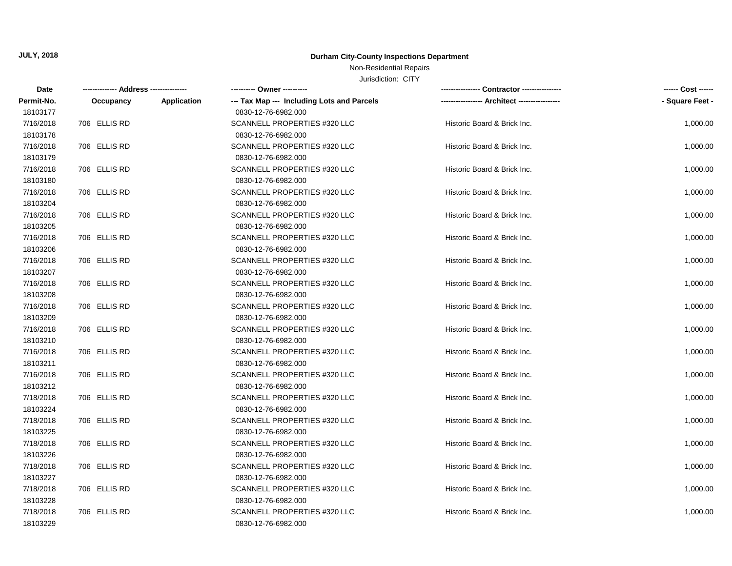## Non-Residential Repairs

| Date       |              |             | ---------- Owner ----------                |                             | ------ Cost ------ |
|------------|--------------|-------------|--------------------------------------------|-----------------------------|--------------------|
| Permit-No. | Occupancy    | Application | --- Tax Map --- Including Lots and Parcels |                             | - Square Feet -    |
| 18103177   |              |             | 0830-12-76-6982.000                        |                             |                    |
| 7/16/2018  | 706 ELLIS RD |             | SCANNELL PROPERTIES #320 LLC               | Historic Board & Brick Inc. | 1,000.00           |
| 18103178   |              |             | 0830-12-76-6982.000                        |                             |                    |
| 7/16/2018  | 706 ELLIS RD |             | SCANNELL PROPERTIES #320 LLC               | Historic Board & Brick Inc. | 1,000.00           |
| 18103179   |              |             | 0830-12-76-6982.000                        |                             |                    |
| 7/16/2018  | 706 ELLIS RD |             | SCANNELL PROPERTIES #320 LLC               | Historic Board & Brick Inc. | 1,000.00           |
| 18103180   |              |             | 0830-12-76-6982.000                        |                             |                    |
| 7/16/2018  | 706 ELLIS RD |             | SCANNELL PROPERTIES #320 LLC               | Historic Board & Brick Inc. | 1,000.00           |
| 18103204   |              |             | 0830-12-76-6982.000                        |                             |                    |
| 7/16/2018  | 706 ELLIS RD |             | SCANNELL PROPERTIES #320 LLC               | Historic Board & Brick Inc. | 1,000.00           |
| 18103205   |              |             | 0830-12-76-6982.000                        |                             |                    |
| 7/16/2018  | 706 ELLIS RD |             | SCANNELL PROPERTIES #320 LLC               | Historic Board & Brick Inc. | 1,000.00           |
| 18103206   |              |             | 0830-12-76-6982.000                        |                             |                    |
| 7/16/2018  | 706 ELLIS RD |             | SCANNELL PROPERTIES #320 LLC               | Historic Board & Brick Inc. | 1,000.00           |
| 18103207   |              |             | 0830-12-76-6982.000                        |                             |                    |
| 7/16/2018  | 706 ELLIS RD |             | SCANNELL PROPERTIES #320 LLC               | Historic Board & Brick Inc. | 1,000.00           |
| 18103208   |              |             | 0830-12-76-6982.000                        |                             |                    |
| 7/16/2018  | 706 ELLIS RD |             | SCANNELL PROPERTIES #320 LLC               | Historic Board & Brick Inc. | 1,000.00           |
| 18103209   |              |             | 0830-12-76-6982.000                        |                             |                    |
| 7/16/2018  | 706 ELLIS RD |             | SCANNELL PROPERTIES #320 LLC               | Historic Board & Brick Inc. | 1,000.00           |
| 18103210   |              |             | 0830-12-76-6982.000                        |                             |                    |
| 7/16/2018  | 706 ELLIS RD |             | SCANNELL PROPERTIES #320 LLC               | Historic Board & Brick Inc. | 1,000.00           |
| 18103211   |              |             | 0830-12-76-6982.000                        |                             |                    |
| 7/16/2018  | 706 ELLIS RD |             | SCANNELL PROPERTIES #320 LLC               | Historic Board & Brick Inc. | 1,000.00           |
| 18103212   |              |             | 0830-12-76-6982.000                        |                             |                    |
| 7/18/2018  | 706 ELLIS RD |             | SCANNELL PROPERTIES #320 LLC               | Historic Board & Brick Inc. | 1,000.00           |
| 18103224   |              |             | 0830-12-76-6982.000                        |                             |                    |
| 7/18/2018  | 706 ELLIS RD |             | SCANNELL PROPERTIES #320 LLC               | Historic Board & Brick Inc. | 1,000.00           |
| 18103225   |              |             | 0830-12-76-6982.000                        |                             |                    |
| 7/18/2018  | 706 ELLIS RD |             | SCANNELL PROPERTIES #320 LLC               | Historic Board & Brick Inc. | 1,000.00           |
| 18103226   |              |             | 0830-12-76-6982.000                        |                             |                    |
| 7/18/2018  | 706 ELLIS RD |             | SCANNELL PROPERTIES #320 LLC               | Historic Board & Brick Inc. | 1,000.00           |
| 18103227   |              |             | 0830-12-76-6982.000                        |                             |                    |
| 7/18/2018  | 706 ELLIS RD |             | SCANNELL PROPERTIES #320 LLC               | Historic Board & Brick Inc. | 1,000.00           |
| 18103228   |              |             | 0830-12-76-6982.000                        |                             |                    |
| 7/18/2018  | 706 ELLIS RD |             | SCANNELL PROPERTIES #320 LLC               | Historic Board & Brick Inc. | 1,000.00           |
| 18103229   |              |             | 0830-12-76-6982.000                        |                             |                    |